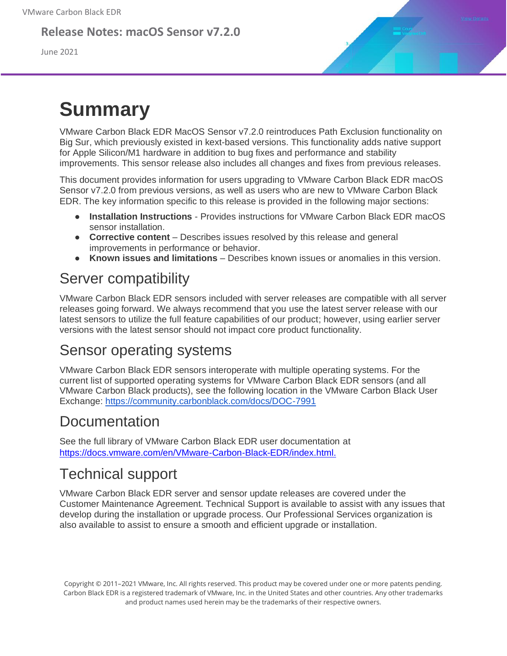#### **Release Notes: macOS Sensor v7.2.0**

June 2021

# **Summary**

VMware Carbon Black EDR MacOS Sensor v7.2.0 reintroduces Path Exclusion functionality on Big Sur, which previously existed in kext-based versions. This functionality adds native support for Apple Silicon/M1 hardware in addition to bug fixes and performance and stability improvements. This sensor release also includes all changes and fixes from previous releases.

This document provides information for users upgrading to VMware Carbon Black EDR macOS Sensor v7.2.0 from previous versions, as well as users who are new to VMware Carbon Black EDR. The key information specific to this release is provided in the following major sections:

- **Installation Instructions**  Provides instructions for VMware Carbon Black EDR macOS sensor installation.
- **Corrective content** Describes issues resolved by this release and general improvements in performance or behavior.
- **Known issues and limitations** Describes known issues or anomalies in this version.

### Server compatibility

VMware Carbon Black EDR sensors included with server releases are compatible with all server releases going forward. We always recommend that you use the latest server release with our latest sensors to utilize the full feature capabilities of our product; however, using earlier server versions with the latest sensor should not impact core product functionality.

### Sensor operating systems

VMware Carbon Black EDR sensors interoperate with multiple operating systems. For the current list of supported operating systems for VMware Carbon Black EDR sensors (and all VMware Carbon Black products), see the following location in the VMware Carbon Black User Exchange:<https://community.carbonblack.com/docs/DOC-7991>

### **Documentation**

See the full library of VMware Carbon Black EDR user documentation at <https://docs.vmware.com/en/VMware-Carbon-Black-EDR/index.html.>

### Technical support

VMware Carbon Black EDR server and sensor update releases are covered under the Customer Maintenance Agreement. Technical Support is available to assist with any issues that develop during the installation or upgrade process. Our Professional Services organization is also available to assist to ensure a smooth and efficient upgrade or installation.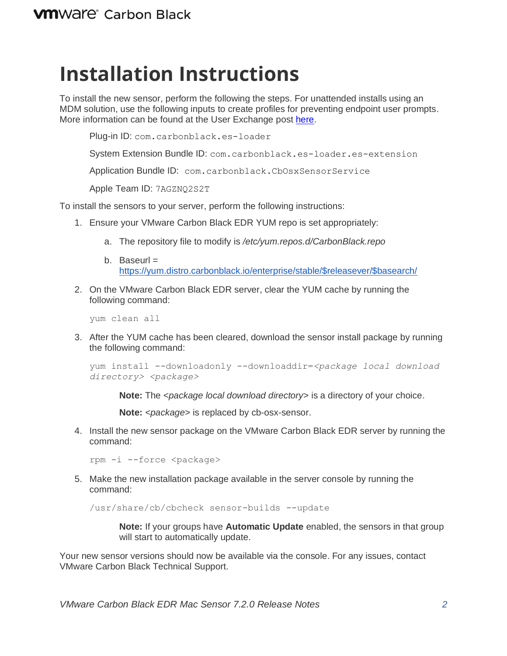## **Installation Instructions**

To install the new sensor, perform the following the steps. For unattended installs using an MDM solution, use the following inputs to create profiles for preventing endpoint user prompts. More information can be found at the User Exchange post [here.](https://community.carbonblack.com/t5/Endpoint-Detection-and-Response/Carbon-Black-EDR-Granting-macOS-Sensor-Access-on-macOS-11/ta-p/96914)

Plug-in ID: com.carbonblack.es-loader

System Extension Bundle ID: com.carbonblack.es-loader.es-extension

Application Bundle ID: com.carbonblack.CbOsxSensorService

Apple Team ID: 7AGZNQ2S2T

To install the sensors to your server, perform the following instructions:

- 1. Ensure your VMware Carbon Black EDR YUM repo is set appropriately:
	- a. The repository file to modify is */etc/yum.repos.d/CarbonBlack.repo*
	- b. Baseurl  $=$ [https://yum.distro.carbonblack.io/enterprise/stable/\\$releasever/\\$basearch/](https://yum.distro.carbonblack.io/enterprise/stable/$releasever/$basearch/)
- 2. On the VMware Carbon Black EDR server, clear the YUM cache by running the following command:

yum clean all

3. After the YUM cache has been cleared, download the sensor install package by running the following command:

```
yum install --downloadonly --downloaddir=<package local download 
directory> <package>
```
**Note:** The *<package local download directory>* is a directory of your choice.

**Note:** *<package>* is replaced by cb-osx-sensor.

4. Install the new sensor package on the VMware Carbon Black EDR server by running the command:

rpm -i --force <package>

5. Make the new installation package available in the server console by running the command:

/usr/share/cb/cbcheck sensor-builds --update

**Note:** If your groups have **Automatic Update** enabled, the sensors in that group will start to automatically update.

Your new sensor versions should now be available via the console. For any issues, contact VMware Carbon Black Technical Support.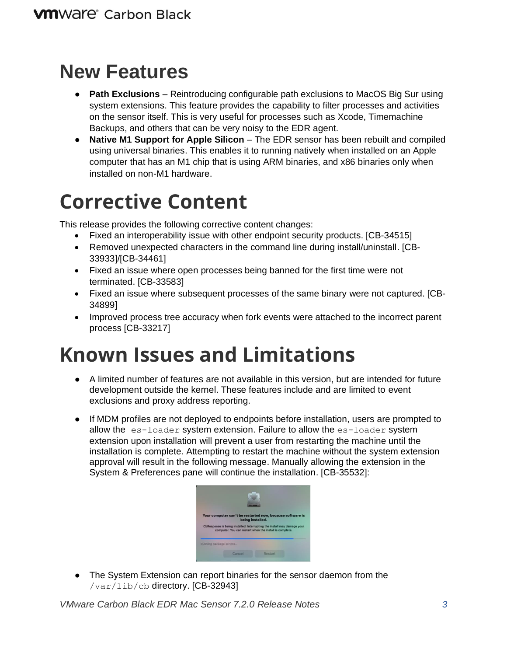## **New Features**

- **Path Exclusions** Reintroducing configurable path exclusions to MacOS Big Sur using system extensions. This feature provides the capability to filter processes and activities on the sensor itself. This is very useful for processes such as Xcode, Timemachine Backups, and others that can be very noisy to the EDR agent.
- **Native M1 Support for Apple Silicon** The EDR sensor has been rebuilt and compiled using universal binaries. This enables it to running natively when installed on an Apple computer that has an M1 chip that is using ARM binaries, and x86 binaries only when installed on non-M1 hardware.

# **Corrective Content**

This release provides the following corrective content changes:

- Fixed an interoperability issue with other endpoint security products. [CB-34515]
- Removed unexpected characters in the command line during install/uninstall. [CB-33933]/[CB-34461]
- Fixed an issue where open processes being banned for the first time were not terminated. [CB-33583]
- Fixed an issue where subsequent processes of the same binary were not captured. [CB-34899]
- Improved process tree accuracy when fork events were attached to the incorrect parent process [CB-33217]

# **Known Issues and Limitations**

- A limited number of features are not available in this version, but are intended for future development outside the kernel. These features include and are limited to event exclusions and proxy address reporting.
- If MDM profiles are not deployed to endpoints before installation, users are prompted to allow the es-loader system extension. Failure to allow the es-loader system extension upon installation will prevent a user from restarting the machine until the installation is complete. Attempting to restart the machine without the system extension approval will result in the following message. Manually allowing the extension in the System & Preferences pane will continue the installation. [CB-35532]:



● The System Extension can report binaries for the sensor daemon from the /var/lib/cb directory. [CB-32943]

*VMware Carbon Black EDR Mac Sensor 7.2.0 Release Notes 3*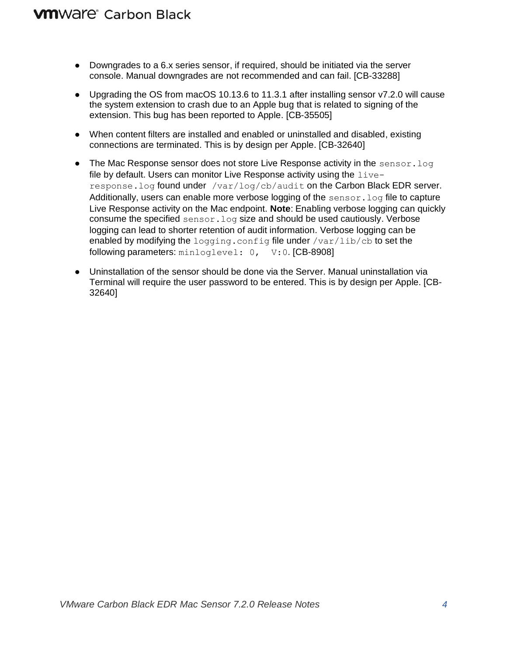#### **VM**Ware<sup>®</sup> Carbon Black

- Downgrades to a 6.x series sensor, if required, should be initiated via the server console. Manual downgrades are not recommended and can fail. [CB-33288]
- Upgrading the OS from macOS 10.13.6 to 11.3.1 after installing sensor v7.2.0 will cause the system extension to crash due to an Apple bug that is related to signing of the extension. This bug has been reported to Apple. [CB-35505]
- When content filters are installed and enabled or uninstalled and disabled, existing connections are terminated. This is by design per Apple. [CB-32640]
- The Mac Response sensor does not store Live Response activity in the sensor. log file by default. Users can monitor Live Response activity using the  $live$ response.log found under /var/log/cb/audit on the Carbon Black EDR server. Additionally, users can enable more verbose logging of the  $sensor.$  log file to capture Live Response activity on the Mac endpoint. **Note**: Enabling verbose logging can quickly consume the specified sensor.log size and should be used cautiously. Verbose logging can lead to shorter retention of audit information. Verbose logging can be enabled by modifying the logging.config file under  $/var/lib/cb$  to set the following parameters: minloglevel: 0, V:0. [CB-8908]
- Uninstallation of the sensor should be done via the Server. Manual uninstallation via Terminal will require the user password to be entered. This is by design per Apple. [CB-32640]